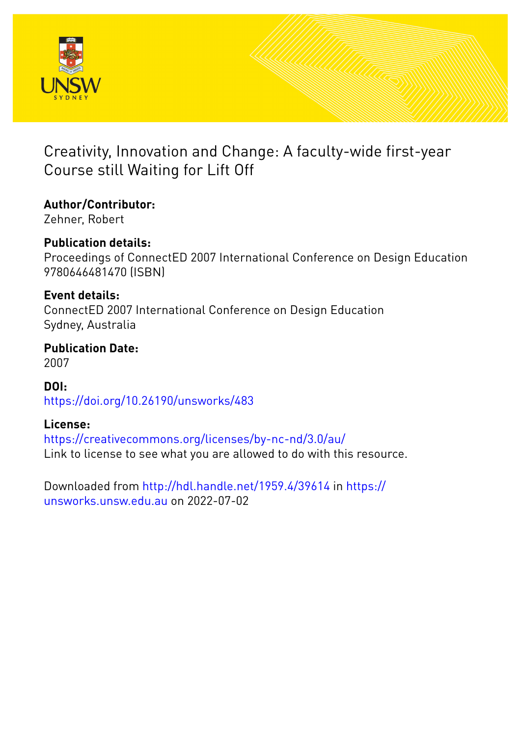

# Creativity, Innovation and Change: A faculty-wide first-year Course still Waiting for Lift Off

**Author/Contributor:**

Zehner, Robert

## **Publication details:**

Proceedings of ConnectED 2007 International Conference on Design Education 9780646481470 (ISBN)

### **Event details:**

ConnectED 2007 International Conference on Design Education Sydney, Australia

**Publication Date:** 2007

**DOI:** [https://doi.org/10.26190/unsworks/483](http://dx.doi.org/https://doi.org/10.26190/unsworks/483)

### **License:**

<https://creativecommons.org/licenses/by-nc-nd/3.0/au/> Link to license to see what you are allowed to do with this resource.

Downloaded from <http://hdl.handle.net/1959.4/39614> in [https://](https://unsworks.unsw.edu.au) [unsworks.unsw.edu.au](https://unsworks.unsw.edu.au) on 2022-07-02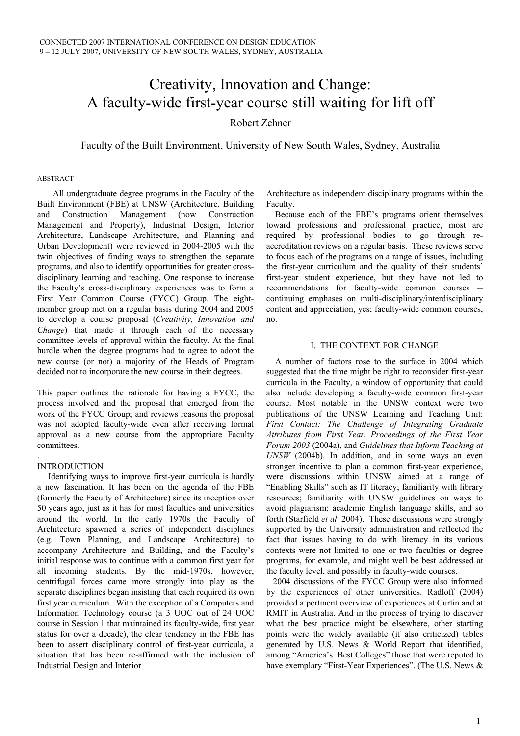## Creativity, Innovation and Change: A faculty-wide first-year course still waiting for lift off

Robert Zehner

Faculty of the Built Environment, University of New South Wales, Sydney, Australia

#### ABSTRACT

All undergraduate degree programs in the Faculty of the Built Environment (FBE) at UNSW (Architecture, Building and Construction Management (now Construction Management and Property), Industrial Design, Interior Architecture, Landscape Architecture, and Planning and Urban Development) were reviewed in 2004-2005 with the twin objectives of finding ways to strengthen the separate programs, and also to identify opportunities for greater crossdisciplinary learning and teaching. One response to increase the Faculty's cross-disciplinary experiences was to form a First Year Common Course (FYCC) Group. The eightmember group met on a regular basis during 2004 and 2005 to develop a course proposal (*Creativity, Innovation and Change*) that made it through each of the necessary committee levels of approval within the faculty. At the final hurdle when the degree programs had to agree to adopt the new course (or not) a majority of the Heads of Program decided not to incorporate the new course in their degrees.

This paper outlines the rationale for having a FYCC, the process involved and the proposal that emerged from the work of the FYCC Group; and reviews reasons the proposal was not adopted faculty-wide even after receiving formal approval as a new course from the appropriate Faculty committees.

#### INTRODUCTION

.

Identifying ways to improve first-year curricula is hardly a new fascination. It has been on the agenda of the FBE (formerly the Faculty of Architecture) since its inception over 50 years ago, just as it has for most faculties and universities around the world. In the early 1970s the Faculty of Architecture spawned a series of independent disciplines (e.g. Town Planning, and Landscape Architecture) to accompany Architecture and Building, and the Faculty's initial response was to continue with a common first year for all incoming students. By the mid-1970s, however, centrifugal forces came more strongly into play as the separate disciplines began insisting that each required its own first year curriculum. With the exception of a Computers and Information Technology course (a 3 UOC out of 24 UOC course in Session 1 that maintained its faculty-wide, first year status for over a decade), the clear tendency in the FBE has been to assert disciplinary control of first-year curricula, a situation that has been re-affirmed with the inclusion of Industrial Design and Interior

Architecture as independent disciplinary programs within the Faculty.

 Because each of the FBE's programs orient themselves toward professions and professional practice, most are required by professional bodies to go through reaccreditation reviews on a regular basis. These reviews serve to focus each of the programs on a range of issues, including the first-year curriculum and the quality of their students' first-year student experience, but they have not led to recommendations for faculty-wide common courses - continuing emphases on multi-disciplinary/interdisciplinary content and appreciation, yes; faculty-wide common courses, no.

#### I. THE CONTEXT FOR CHANGE

A number of factors rose to the surface in 2004 which suggested that the time might be right to reconsider first-year curricula in the Faculty, a window of opportunity that could also include developing a faculty-wide common first-year course. Most notable in the UNSW context were two publications of the UNSW Learning and Teaching Unit: *First Contact: The Challenge of Integrating Graduate Attributes from First Year. Proceedings of the First Year Forum 2003* (2004a), and *Guidelines that Inform Teaching at UNSW* (2004b). In addition, and in some ways an even stronger incentive to plan a common first-year experience, were discussions within UNSW aimed at a range of "Enabling Skills" such as IT literacy; familiarity with library resources; familiarity with UNSW guidelines on ways to avoid plagiarism; academic English language skills, and so forth (Starfield *et al*. 2004). These discussions were strongly supported by the University administration and reflected the fact that issues having to do with literacy in its various contexts were not limited to one or two faculties or degree programs, for example, and might well be best addressed at the faculty level, and possibly in faculty-wide courses.

2004 discussions of the FYCC Group were also informed by the experiences of other universities. Radloff (2004) provided a pertinent overview of experiences at Curtin and at RMIT in Australia. And in the process of trying to discover what the best practice might be elsewhere, other starting points were the widely available (if also criticized) tables generated by U.S. News & World Report that identified, among "America's Best Colleges" those that were reputed to have exemplary "First-Year Experiences". (The U.S. News &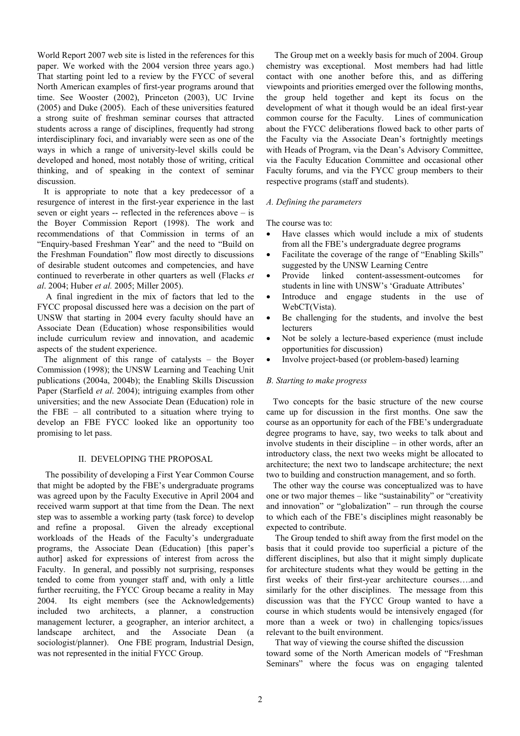World Report 2007 web site is listed in the references for this paper. We worked with the 2004 version three years ago.) That starting point led to a review by the FYCC of several North American examples of first-year programs around that time. See Wooster (2002), Princeton (2003), UC Irvine (2005) and Duke (2005). Each of these universities featured a strong suite of freshman seminar courses that attracted students across a range of disciplines, frequently had strong interdisciplinary foci, and invariably were seen as one of the ways in which a range of university-level skills could be developed and honed, most notably those of writing, critical thinking, and of speaking in the context of seminar discussion.

It is appropriate to note that a key predecessor of a resurgence of interest in the first-year experience in the last seven or eight years -- reflected in the references above – is the Boyer Commission Report (1998). The work and recommendations of that Commission in terms of an "Enquiry-based Freshman Year" and the need to "Build on the Freshman Foundation" flow most directly to discussions of desirable student outcomes and competencies, and have continued to reverberate in other quarters as well (Flacks *et al*. 2004; Huber *et al.* 2005; Miller 2005).

A final ingredient in the mix of factors that led to the FYCC proposal discussed here was a decision on the part of UNSW that starting in 2004 every faculty should have an Associate Dean (Education) whose responsibilities would include curriculum review and innovation, and academic aspects of the student experience.

The alignment of this range of catalysts – the Boyer Commission (1998); the UNSW Learning and Teaching Unit publications (2004a, 2004b); the Enabling Skills Discussion Paper (Starfield *et al*. 2004); intriguing examples from other universities; and the new Associate Dean (Education) role in the FBE – all contributed to a situation where trying to develop an FBE FYCC looked like an opportunity too promising to let pass.

#### II. DEVELOPING THE PROPOSAL

The possibility of developing a First Year Common Course that might be adopted by the FBE's undergraduate programs was agreed upon by the Faculty Executive in April 2004 and received warm support at that time from the Dean. The next step was to assemble a working party (task force) to develop and refine a proposal. Given the already exceptional workloads of the Heads of the Faculty's undergraduate programs, the Associate Dean (Education) [this paper's author] asked for expressions of interest from across the Faculty. In general, and possibly not surprising, responses tended to come from younger staff and, with only a little further recruiting, the FYCC Group became a reality in May 2004. Its eight members (see the Acknowledgements) included two architects, a planner, a construction management lecturer, a geographer, an interior architect, a landscape architect, and the Associate Dean (a sociologist/planner). One FBE program, Industrial Design, was not represented in the initial FYCC Group.

The Group met on a weekly basis for much of 2004. Group chemistry was exceptional. Most members had had little contact with one another before this, and as differing viewpoints and priorities emerged over the following months, the group held together and kept its focus on the development of what it though would be an ideal first-year common course for the Faculty. Lines of communication about the FYCC deliberations flowed back to other parts of the Faculty via the Associate Dean's fortnightly meetings with Heads of Program, via the Dean's Advisory Committee, via the Faculty Education Committee and occasional other Faculty forums, and via the FYCC group members to their respective programs (staff and students).

#### *A. Defining the parameters*

The course was to:

- Have classes which would include a mix of students from all the FBE's undergraduate degree programs
- Facilitate the coverage of the range of "Enabling Skills" suggested by the UNSW Learning Centre
- Provide linked content-assessment-outcomes for students in line with UNSW's 'Graduate Attributes'
- Introduce and engage students in the use of WebCT(Vista).
- Be challenging for the students, and involve the best lecturers
- Not be solely a lecture-based experience (must include opportunities for discussion)
- Involve project-based (or problem-based) learning

#### *B. Starting to make progress*

Two concepts for the basic structure of the new course came up for discussion in the first months. One saw the course as an opportunity for each of the FBE's undergraduate degree programs to have, say, two weeks to talk about and involve students in their discipline – in other words, after an introductory class, the next two weeks might be allocated to architecture; the next two to landscape architecture; the next two to building and construction management, and so forth.

The other way the course was conceptualized was to have one or two major themes – like "sustainability" or "creativity and innovation" or "globalization" – run through the course to which each of the FBE's disciplines might reasonably be expected to contribute.

 The Group tended to shift away from the first model on the basis that it could provide too superficial a picture of the different disciplines, but also that it might simply duplicate for architecture students what they would be getting in the first weeks of their first-year architecture courses….and similarly for the other disciplines. The message from this discussion was that the FYCC Group wanted to have a course in which students would be intensively engaged (for more than a week or two) in challenging topics/issues relevant to the built environment.

 That way of viewing the course shifted the discussion toward some of the North American models of "Freshman Seminars" where the focus was on engaging talented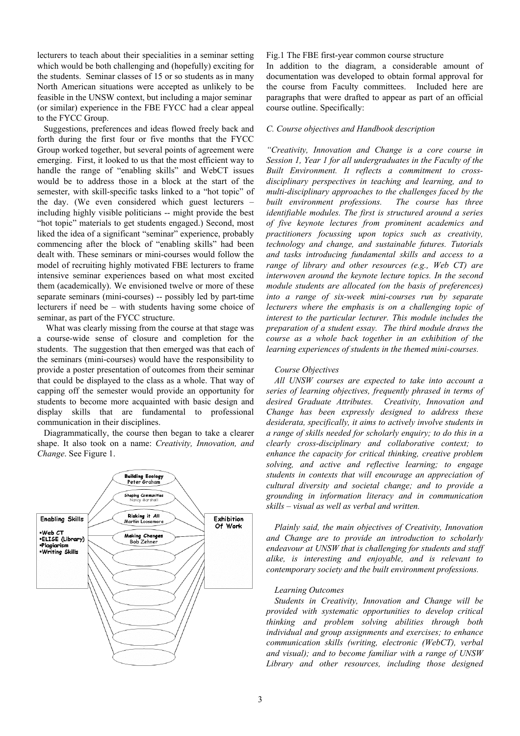lecturers to teach about their specialities in a seminar setting which would be both challenging and (hopefully) exciting for the students. Seminar classes of 15 or so students as in many North American situations were accepted as unlikely to be feasible in the UNSW context, but including a major seminar (or similar) experience in the FBE FYCC had a clear appeal to the FYCC Group.

Suggestions, preferences and ideas flowed freely back and forth during the first four or five months that the FYCC Group worked together, but several points of agreement were emerging. First, it looked to us that the most efficient way to handle the range of "enabling skills" and WebCT issues would be to address those in a block at the start of the semester, with skill-specific tasks linked to a "hot topic" of the day. (We even considered which guest lecturers – including highly visible politicians -- might provide the best "hot topic" materials to get students engaged.) Second, most liked the idea of a significant "seminar" experience, probably commencing after the block of "enabling skills" had been dealt with. These seminars or mini-courses would follow the model of recruiting highly motivated FBE lecturers to frame intensive seminar experiences based on what most excited them (academically). We envisioned twelve or more of these separate seminars (mini-courses) -- possibly led by part-time lecturers if need be – with students having some choice of seminar, as part of the FYCC structure.

 What was clearly missing from the course at that stage was a course-wide sense of closure and completion for the students. The suggestion that then emerged was that each of the seminars (mini-courses) would have the responsibility to provide a poster presentation of outcomes from their seminar that could be displayed to the class as a whole. That way of capping off the semester would provide an opportunity for students to become more acquainted with basic design and display skills that are fundamental to professional communication in their disciplines.

Diagrammatically, the course then began to take a clearer shape. It also took on a name: *Creativity, Innovation, and Change*. See Figure 1.



#### Fig.1 The FBE first-year common course structure

In addition to the diagram, a considerable amount of documentation was developed to obtain formal approval for the course from Faculty committees. Included here are paragraphs that were drafted to appear as part of an official course outline. Specifically:

#### *C. Course objectives and Handbook description*

*"Creativity, Innovation and Change is a core course in Session 1, Year 1 for all undergraduates in the Faculty of the Built Environment. It reflects a commitment to crossdisciplinary perspectives in teaching and learning, and to multi-disciplinary approaches to the challenges faced by the built environment professions. The course has three identifiable modules. The first is structured around a series of five keynote lectures from prominent academics and practitioners focussing upon topics such as creativity, technology and change, and sustainable futures. Tutorials and tasks introducing fundamental skills and access to a range of library and other resources (e.g., Web CT) are interwoven around the keynote lecture topics. In the second module students are allocated (on the basis of preferences) into a range of six-week mini-courses run by separate lecturers where the emphasis is on a challenging topic of interest to the particular lecturer. This module includes the preparation of a student essay. The third module draws the course as a whole back together in an exhibition of the learning experiences of students in the themed mini-courses.* 

#### *Course Objectives*

*All UNSW courses are expected to take into account a series of learning objectives, frequently phrased in terms of desired Graduate Attributes. Creativity, Innovation and Change has been expressly designed to address these desiderata, specifically, it aims to actively involve students in a range of skills needed for scholarly enquiry; to do this in a clearly cross-disciplinary and collaborative context; to enhance the capacity for critical thinking, creative problem solving, and active and reflective learning; to engage students in contexts that will encourage an appreciation of cultural diversity and societal change; and to provide a grounding in information literacy and in communication skills – visual as well as verbal and written.* 

*Plainly said, the main objectives of Creativity, Innovation and Change are to provide an introduction to scholarly endeavour at UNSW that is challenging for students and staff alike, is interesting and enjoyable, and is relevant to contemporary society and the built environment professions.* 

#### *Learning Outcomes*

*Students in Creativity, Innovation and Change will be provided with systematic opportunities to develop critical thinking and problem solving abilities through both individual and group assignments and exercises; to enhance communication skills (writing, electronic (WebCT), verbal and visual); and to become familiar with a range of UNSW Library and other resources, including those designed*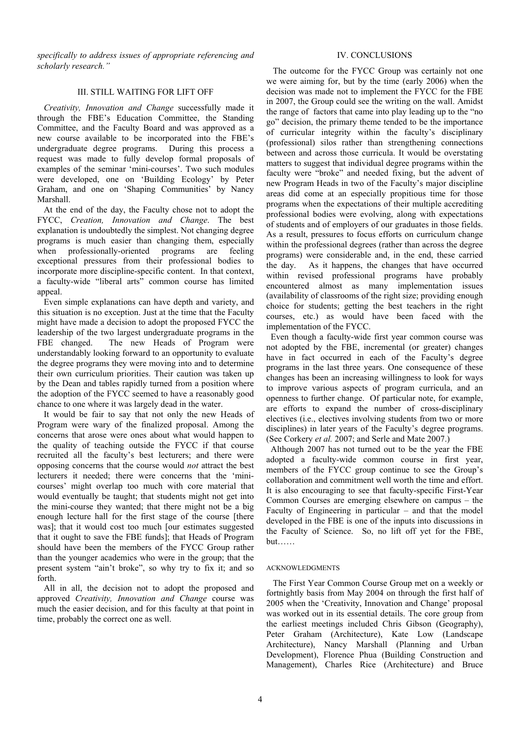*specifically to address issues of appropriate referencing and scholarly research."*

#### III. STILL WAITING FOR LIFT OFF

 *Creativity, Innovation and Change* successfully made it through the FBE's Education Committee, the Standing Committee, and the Faculty Board and was approved as a new course available to be incorporated into the FBE's undergraduate degree programs. During this process a request was made to fully develop formal proposals of examples of the seminar 'mini-courses'. Two such modules were developed, one on 'Building Ecology' by Peter Graham, and one on 'Shaping Communities' by Nancy Marshall.

At the end of the day, the Faculty chose not to adopt the FYCC, *Creation, Innovation and Change*. The best explanation is undoubtedly the simplest. Not changing degree programs is much easier than changing them, especially when professionally-oriented programs are feeling exceptional pressures from their professional bodies to incorporate more discipline-specific content. In that context, a faculty-wide "liberal arts" common course has limited appeal.

Even simple explanations can have depth and variety, and this situation is no exception. Just at the time that the Faculty might have made a decision to adopt the proposed FYCC the leadership of the two largest undergraduate programs in the FBE changed. The new Heads of Program were understandably looking forward to an opportunity to evaluate the degree programs they were moving into and to determine their own curriculum priorities. Their caution was taken up by the Dean and tables rapidly turned from a position where the adoption of the FYCC seemed to have a reasonably good chance to one where it was largely dead in the water.

It would be fair to say that not only the new Heads of Program were wary of the finalized proposal. Among the concerns that arose were ones about what would happen to the quality of teaching outside the FYCC if that course recruited all the faculty's best lecturers; and there were opposing concerns that the course would *not* attract the best lecturers it needed; there were concerns that the 'minicourses' might overlap too much with core material that would eventually be taught; that students might not get into the mini-course they wanted; that there might not be a big enough lecture hall for the first stage of the course [there was]; that it would cost too much [our estimates suggested that it ought to save the FBE funds]; that Heads of Program should have been the members of the FYCC Group rather than the younger academics who were in the group; that the present system "ain't broke", so why try to fix it; and so forth.

All in all, the decision not to adopt the proposed and approved *Creativity, Innovation and Change* course was much the easier decision, and for this faculty at that point in time, probably the correct one as well.

#### IV. CONCLUSIONS

The outcome for the FYCC Group was certainly not one we were aiming for, but by the time (early 2006) when the decision was made not to implement the FYCC for the FBE in 2007, the Group could see the writing on the wall. Amidst the range of factors that came into play leading up to the "no go" decision, the primary theme tended to be the importance of curricular integrity within the faculty's disciplinary (professional) silos rather than strengthening connections between and across those curricula. It would be overstating matters to suggest that individual degree programs within the faculty were "broke" and needed fixing, but the advent of new Program Heads in two of the Faculty's major discipline areas did come at an especially propitious time for those programs when the expectations of their multiple accrediting professional bodies were evolving, along with expectations of students and of employers of our graduates in those fields. As a result, pressures to focus efforts on curriculum change within the professional degrees (rather than across the degree programs) were considerable and, in the end, these carried the day. As it happens, the changes that have occurred within revised professional programs have probably encountered almost as many implementation issues (availability of classrooms of the right size; providing enough choice for students; getting the best teachers in the right courses, etc.) as would have been faced with the implementation of the FYCC.

Even though a faculty-wide first year common course was not adopted by the FBE, incremental (or greater) changes have in fact occurred in each of the Faculty's degree programs in the last three years. One consequence of these changes has been an increasing willingness to look for ways to improve various aspects of program curricula, and an openness to further change. Of particular note, for example, are efforts to expand the number of cross-disciplinary electives (i.e., electives involving students from two or more disciplines) in later years of the Faculty's degree programs. (See Corkery *et al.* 2007; and Serle and Mate 2007.)

Although 2007 has not turned out to be the year the FBE adopted a faculty-wide common course in first year, members of the FYCC group continue to see the Group's collaboration and commitment well worth the time and effort. It is also encouraging to see that faculty-specific First-Year Common Courses are emerging elsewhere on campus – the Faculty of Engineering in particular – and that the model developed in the FBE is one of the inputs into discussions in the Faculty of Science. So, no lift off yet for the FBE, but……

#### ACKNOWLEDGMENTS

The First Year Common Course Group met on a weekly or fortnightly basis from May 2004 on through the first half of 2005 when the 'Creativity, Innovation and Change' proposal was worked out in its essential details. The core group from the earliest meetings included Chris Gibson (Geography), Peter Graham (Architecture), Kate Low (Landscape Architecture), Nancy Marshall (Planning and Urban Development), Florence Phua (Building Construction and Management), Charles Rice (Architecture) and Bruce